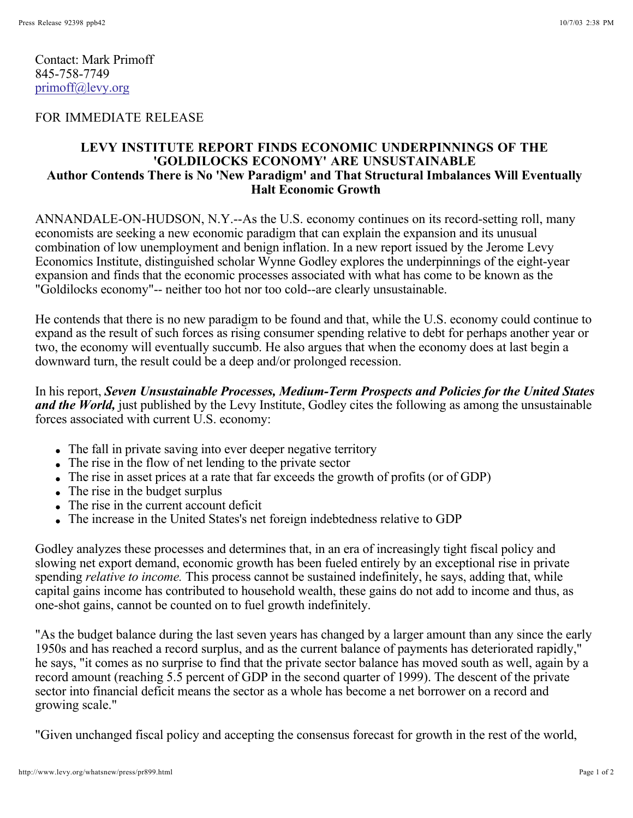Contact: Mark Primoff 845-758-7749 primoff@levy.org

## FOR IMMEDIATE RELEASE

## **LEVY INSTITUTE REPORT FINDS ECONOMIC UNDERPINNINGS OF THE 'GOLDILOCKS ECONOMY' ARE UNSUSTAINABLE Author Contends There is No 'New Paradigm' and That Structural Imbalances Will Eventually Halt Economic Growth**

ANNANDALE-ON-HUDSON, N.Y.--As the U.S. economy continues on its record-setting roll, many economists are seeking a new economic paradigm that can explain the expansion and its unusual combination of low unemployment and benign inflation. In a new report issued by the Jerome Levy Economics Institute, distinguished scholar Wynne Godley explores the underpinnings of the eight-year expansion and finds that the economic processes associated with what has come to be known as the "Goldilocks economy"-- neither too hot nor too cold--are clearly unsustainable.

He contends that there is no new paradigm to be found and that, while the U.S. economy could continue to expand as the result of such forces as rising consumer spending relative to debt for perhaps another year or two, the economy will eventually succumb. He also argues that when the economy does at last begin a downward turn, the result could be a deep and/or prolonged recession.

In his report, *Seven Unsustainable Processes, Medium-Term Prospects and Policies for the United States*  and the World, just published by the Levy Institute, Godley cites the following as among the unsustainable forces associated with current U.S. economy:

- The fall in private saving into ever deeper negative territory
- The rise in the flow of net lending to the private sector
- The rise in asset prices at a rate that far exceeds the growth of profits (or of GDP)
- The rise in the budget surplus
- The rise in the current account deficit
- The increase in the United States's net foreign indebtedness relative to GDP

Godley analyzes these processes and determines that, in an era of increasingly tight fiscal policy and slowing net export demand, economic growth has been fueled entirely by an exceptional rise in private spending *relative to income*. This process cannot be sustained indefinitely, he says, adding that, while capital gains income has contributed to household wealth, these gains do not add to income and thus, as one-shot gains, cannot be counted on to fuel growth indefinitely.

"As the budget balance during the last seven years has changed by a larger amount than any since the early 1950s and has reached a record surplus, and as the current balance of payments has deteriorated rapidly," he says, "it comes as no surprise to find that the private sector balance has moved south as well, again by a record amount (reaching 5.5 percent of GDP in the second quarter of 1999). The descent of the private sector into financial deficit means the sector as a whole has become a net borrower on a record and growing scale."

"Given unchanged fiscal policy and accepting the consensus forecast for growth in the rest of the world,